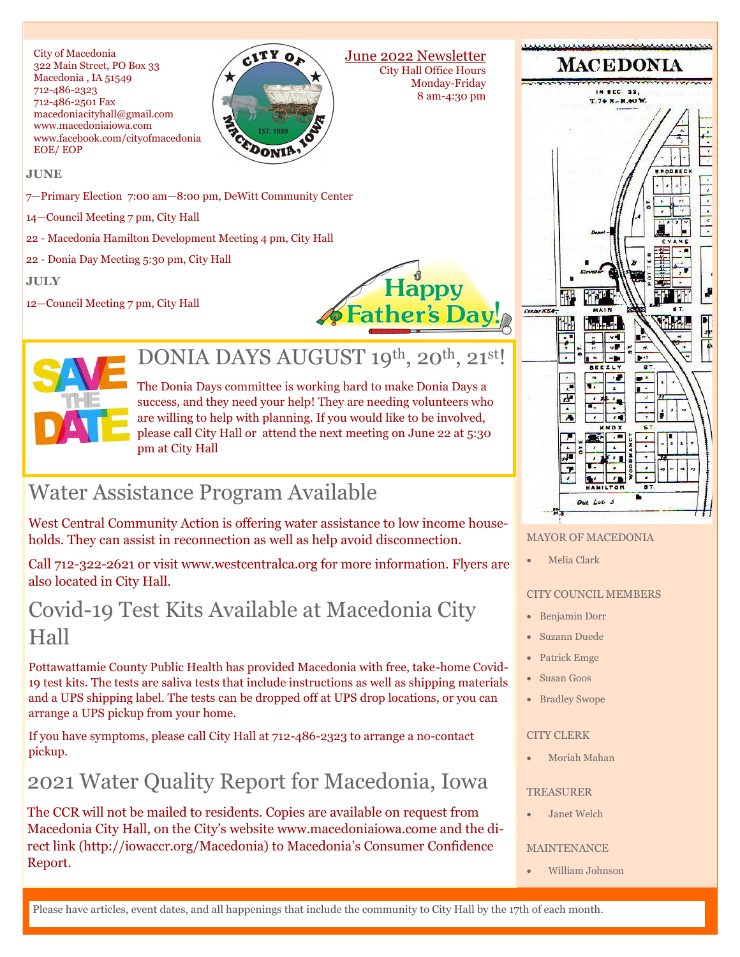City of Macedonia 322 Main Street, PO Box 33 Macedonia , IA 51549 712-486-2323 712-486-2501 Fax macedoniacityhall@gmail.com www.macedoniaiowa.com www.facebook.com/cityofmacedonia EOE/ EOP



June 2022 Newsletter City Hall Office Hours Monday-Friday 8 am-4:30 pm

#### **JUNE**

7—Primary Election 7:00 am—8:00 pm, DeWitt Community Center

14—Council Meeting 7 pm, City Hall

22 - Macedonia Hamilton Development Meeting 4 pm, City Hall

22 - Donia Day Meeting 5:30 pm, City Hall

**JULY**

12—Council Meeting 7 pm, City Hall





## DONIA DAYS AUGUST 19th, 20th, 21st!

The Donia Days committee is working hard to make Donia Days a success, and they need your help! They are needing volunteers who are willing to help with planning. If you would like to be involved, please call City Hall or attend the next meeting on June 22 at 5:30 pm at City Hall

# Water Assistance Program Available

West Central Community Action is offering water assistance to low income households. They can assist in reconnection as well as help avoid disconnection.

Call 712-322-2621 or visit www.westcentralca.org for more information. Flyers are also located in City Hall.

## Covid-19 Test Kits Available at Macedonia City Hall

Pottawattamie County Public Health has provided Macedonia with free, take-home Covid-19 test kits. The tests are saliva tests that include instructions as well as shipping materials and a UPS shipping label. The tests can be dropped off at UPS drop locations, or you can arrange a UPS pickup from your home.

If you have symptoms, please call City Hall at 712-486-2323 to arrange a no-contact pickup.

# 2021 Water Quality Report for Macedonia, Iowa

The CCR will not be mailed to residents. Copies are available on request from Macedonia City Hall, on the City's website www.macedoniaiowa.come and the direct link (http://iowaccr.org/Macedonia) to Macedonia's Consumer Confidence Report.



#### MAYOR OF MACEDONIA

• Melia Clark

#### CITY COUNCIL MEMBERS

- Benjamin Dorr
- Suzann Duede
- Patrick Emge
- Susan Goos
- Bradley Swope

#### CITY CLERK

• Moriah Mahan

#### TREASURER

• Janet Welch

#### MAINTENANCE

• William Johnson

Please have articles, event dates, and all happenings that include the community to City Hall by the 17th of each month.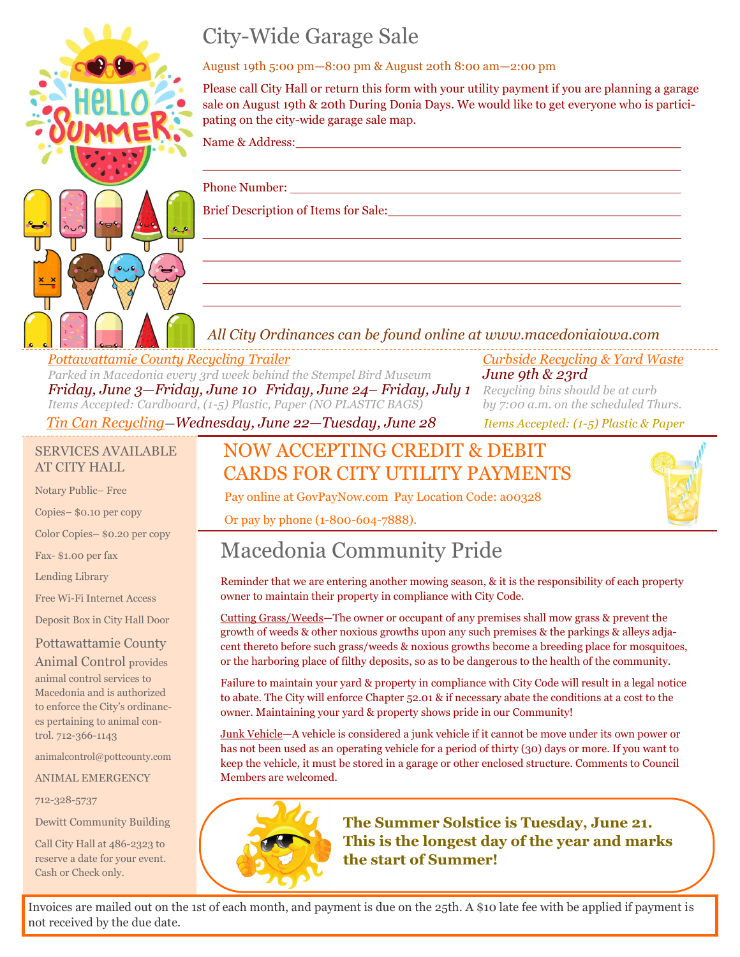

# City-Wide Garage Sale

#### August 19th 5:00 pm—8:00 pm & August 20th 8:00 am—2:00 pm

Please call City Hall or return this form with your utility payment if you are planning a garage sale on August 19th & 20th During Donia Days. We would like to get everyone who is participating on the city-wide garage sale map.

Name & Address:

Phone Number:

Brief Description of Items for Sale:

## *All City Ordinances can be found online at www.macedoniaiowa.com*

*Pottawattamie County Recycling Trailer Curbside Recycling & Yard Waste Parked in Macedonia every 3rd week behind the Stempel Bird Museum June 9th & 23rd Friday, June 3—Friday, June 10 Friday, June 24– Friday, July 1 Recycling bins should be at curb Items Accepted: Cardboard, (1-5) Plastic, Paper (NO PLASTIC BAGS) by 7:00 a.m. on the scheduled Thurs.*

*Tin Can Recycling—Wednesday, June 22—Tuesday, June 28 Items Accepted: (1-5) Plastic & Paper*

### SERVICES AVAILABLE AT CITY HALL

Notary Public– Free

Copies– \$0.10 per copy

Color Copies– \$0.20 per copy

Fax- \$1.00 per fax

Lending Library

Free Wi-Fi Internet Access

Deposit Box in City Hall Door

## Pottawattamie County

Animal Control provides animal control services to Macedonia and is authorized to enforce the City's ordinances pertaining to animal control. 712-366-1143

animalcontrol@pottcounty.com

ANIMAL EMERGENCY

712-328-5737

Dewitt Community Building

Call City Hall at 486-2323 to reserve a date for your event. Cash or Check only.

## NOW ACCEPTING CREDIT & DEBIT CARDS FOR CITY UTILITY PAYMENTS

Pay online at GovPayNow.com Pay Location Code: a00328

Or pay by phone (1-800-604-7888).

# Macedonia Community Pride

Reminder that we are entering another mowing season, & it is the responsibility of each property owner to maintain their property in compliance with City Code.

Cutting Grass/Weeds—The owner or occupant of any premises shall mow grass & prevent the growth of weeds & other noxious growths upon any such premises & the parkings & alleys adjacent thereto before such grass/weeds & noxious growths become a breeding place for mosquitoes, or the harboring place of filthy deposits, so as to be dangerous to the health of the community.

Failure to maintain your yard & property in compliance with City Code will result in a legal notice to abate. The City will enforce Chapter 52.01 & if necessary abate the conditions at a cost to the owner. Maintaining your yard & property shows pride in our Community!

Junk Vehicle—A vehicle is considered a junk vehicle if it cannot be move under its own power or has not been used as an operating vehicle for a period of thirty (30) days or more. If you want to keep the vehicle, it must be stored in a garage or other enclosed structure. Comments to Council Members are welcomed.



**The Summer Solstice is Tuesday, June 21. This is the longest day of the year and marks the start of Summer!**

Invoices are mailed out on the 1st of each month, and payment is due on the 25th. A \$10 late fee with be applied if payment is not received by the due date.